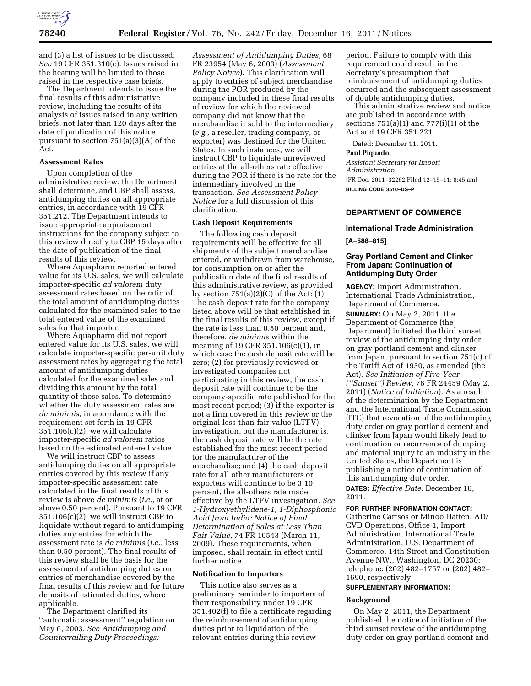

and (3) a list of issues to be discussed. *See* 19 CFR 351.310(c). Issues raised in the hearing will be limited to those raised in the respective case briefs.

The Department intends to issue the final results of this administrative review, including the results of its analysis of issues raised in any written briefs, not later than 120 days after the date of publication of this notice, pursuant to section 751(a)(3)(A) of the Act.

#### **Assessment Rates**

Upon completion of the administrative review, the Department shall determine, and CBP shall assess, antidumping duties on all appropriate entries, in accordance with 19 CFR 351.212. The Department intends to issue appropriate appraisement instructions for the company subject to this review directly to CBP 15 days after the date of publication of the final results of this review.

Where Aquapharm reported entered value for its U.S. sales, we will calculate importer-specific *ad valorem* duty assessment rates based on the ratio of the total amount of antidumping duties calculated for the examined sales to the total entered value of the examined sales for that importer.

Where Aquapharm did not report entered value for its U.S. sales, we will calculate importer-specific per-unit duty assessment rates by aggregating the total amount of antidumping duties calculated for the examined sales and dividing this amount by the total quantity of those sales. To determine whether the duty assessment rates are *de minimis,* in accordance with the requirement set forth in 19 CFR 351.106(c)(2), we will calculate importer-specific *ad valorem* ratios based on the estimated entered value.

We will instruct CBP to assess antidumping duties on all appropriate entries covered by this review if any importer-specific assessment rate calculated in the final results of this review is above *de minimis* (*i.e.,* at or above 0.50 percent). Pursuant to 19 CFR 351.106(c)(2), we will instruct CBP to liquidate without regard to antidumping duties any entries for which the assessment rate is *de minimis* (*i.e.,* less than 0.50 percent). The final results of this review shall be the basis for the assessment of antidumping duties on entries of merchandise covered by the final results of this review and for future deposits of estimated duties, where applicable.

The Department clarified its ''automatic assessment'' regulation on May 6, 2003. *See Antidumping and Countervailing Duty Proceedings:* 

*Assessment of Antidumping Duties,* 68 FR 23954 (May 6, 2003) (*Assessment Policy Notice*). This clarification will apply to entries of subject merchandise during the POR produced by the company included in these final results of review for which the reviewed company did not know that the merchandise it sold to the intermediary (*e.g.,* a reseller, trading company, or exporter) was destined for the United States. In such instances, we will instruct CBP to liquidate unreviewed entries at the all-others rate effective during the POR if there is no rate for the intermediary involved in the transaction. *See Assessment Policy Notice* for a full discussion of this clarification.

## **Cash Deposit Requirements**

The following cash deposit requirements will be effective for all shipments of the subject merchandise entered, or withdrawn from warehouse, for consumption on or after the publication date of the final results of this administrative review, as provided by section  $751(a)(2)(C)$  of the Act:  $(1)$ The cash deposit rate for the company listed above will be that established in the final results of this review, except if the rate is less than 0.50 percent and, therefore, *de minimis* within the meaning of 19 CFR 351.106(c)(1), in which case the cash deposit rate will be zero; (2) for previously reviewed or investigated companies not participating in this review, the cash deposit rate will continue to be the company-specific rate published for the most recent period; (3) if the exporter is not a firm covered in this review or the original less-than-fair-value (LTFV) investigation, but the manufacturer is, the cash deposit rate will be the rate established for the most recent period for the manufacturer of the merchandise; and (4) the cash deposit rate for all other manufacturers or exporters will continue to be 3.10 percent, the all-others rate made effective by the LTFV investigation. *See 1-Hydroxyethylidene-1, 1-Diphosphonic Acid from India: Notice of Final Determination of Sales at Less Than Fair Value,* 74 FR 10543 (March 11, 2009). These requirements, when imposed, shall remain in effect until further notice.

#### **Notification to Importers**

This notice also serves as a preliminary reminder to importers of their responsibility under 19 CFR 351.402(f) to file a certificate regarding the reimbursement of antidumping duties prior to liquidation of the relevant entries during this review

period. Failure to comply with this requirement could result in the Secretary's presumption that reimbursement of antidumping duties occurred and the subsequent assessment of double antidumping duties.

This administrative review and notice are published in accordance with sections  $751(a)(1)$  and  $777(i)(1)$  of the Act and 19 CFR 351.221.

Dated: December 11, 2011.

## **Paul Piquado,**

*Assistant Secretary for Import Administration.*  [FR Doc. 2011–32262 Filed 12–15–11; 8:45 am]

**BILLING CODE 3510–DS–P** 

# **DEPARTMENT OF COMMERCE**

#### **International Trade Administration**

**[A–588–815]** 

# **Gray Portland Cement and Clinker From Japan: Continuation of Antidumping Duty Order**

**AGENCY:** Import Administration, International Trade Administration, Department of Commerce.

**SUMMARY:** On May 2, 2011, the Department of Commerce (the Department) initiated the third sunset review of the antidumping duty order on gray portland cement and clinker from Japan, pursuant to section 751(c) of the Tariff Act of 1930, as amended (the Act). *See Initiation of Five-Year (''Sunset'') Review,* 76 FR 24459 (May 2, 2011) (*Notice of Initiation*). As a result of the determination by the Department and the International Trade Commission (ITC) that revocation of the antidumping duty order on gray portland cement and clinker from Japan would likely lead to continuation or recurrence of dumping and material injury to an industry in the United States, the Department is publishing a notice of continuation of this antidumping duty order. **DATES:** *Effective Date:* December 16, 2011.

#### **FOR FURTHER INFORMATION CONTACT:**

Catherine Cartsos or Minoo Hatten, AD/ CVD Operations, Office 1, Import Administration, International Trade Administration, U.S. Department of Commerce, 14th Street and Constitution Avenue NW., Washington, DC 20230; telephone: (202) 482–1757 or (202) 482– 1690, respectively.

# **SUPPLEMENTARY INFORMATION:**

#### **Background**

On May 2, 2011, the Department published the notice of initiation of the third sunset review of the antidumping duty order on gray portland cement and